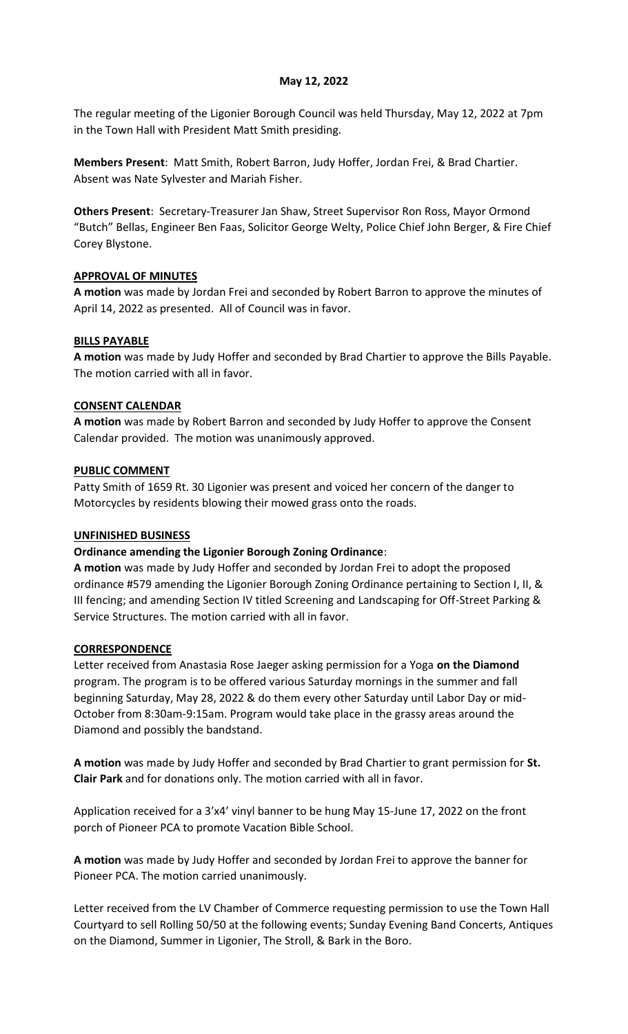#### **May 12, 2022**

The regular meeting of the Ligonier Borough Council was held Thursday, May 12, 2022 at 7pm in the Town Hall with President Matt Smith presiding.

**Members Present**: Matt Smith, Robert Barron, Judy Hoffer, Jordan Frei, & Brad Chartier. Absent was Nate Sylvester and Mariah Fisher.

**Others Present**: Secretary-Treasurer Jan Shaw, Street Supervisor Ron Ross, Mayor Ormond "Butch" Bellas, Engineer Ben Faas, Solicitor George Welty, Police Chief John Berger, & Fire Chief Corey Blystone.

#### **APPROVAL OF MINUTES**

**A motion** was made by Jordan Frei and seconded by Robert Barron to approve the minutes of April 14, 2022 as presented. All of Council was in favor.

#### **BILLS PAYABLE**

**A motion** was made by Judy Hoffer and seconded by Brad Chartier to approve the Bills Payable. The motion carried with all in favor.

#### **CONSENT CALENDAR**

**A motion** was made by Robert Barron and seconded by Judy Hoffer to approve the Consent Calendar provided. The motion was unanimously approved.

#### **PUBLIC COMMENT**

Patty Smith of 1659 Rt. 30 Ligonier was present and voiced her concern of the danger to Motorcycles by residents blowing their mowed grass onto the roads.

#### **UNFINISHED BUSINESS**

## **Ordinance amending the Ligonier Borough Zoning Ordinance**:

**A motion** was made by Judy Hoffer and seconded by Jordan Frei to adopt the proposed ordinance #579 amending the Ligonier Borough Zoning Ordinance pertaining to Section I, II, & III fencing; and amending Section IV titled Screening and Landscaping for Off-Street Parking & Service Structures. The motion carried with all in favor.

#### **CORRESPONDENCE**

Letter received from Anastasia Rose Jaeger asking permission for a Yoga **on the Diamond** program. The program is to be offered various Saturday mornings in the summer and fall beginning Saturday, May 28, 2022 & do them every other Saturday until Labor Day or mid-October from 8:30am-9:15am. Program would take place in the grassy areas around the Diamond and possibly the bandstand.

**A motion** was made by Judy Hoffer and seconded by Brad Chartier to grant permission for **St. Clair Park** and for donations only. The motion carried with all in favor.

Application received for a 3'x4' vinyl banner to be hung May 15-June 17, 2022 on the front porch of Pioneer PCA to promote Vacation Bible School.

**A motion** was made by Judy Hoffer and seconded by Jordan Frei to approve the banner for Pioneer PCA. The motion carried unanimously.

Letter received from the LV Chamber of Commerce requesting permission to use the Town Hall Courtyard to sell Rolling 50/50 at the following events; Sunday Evening Band Concerts, Antiques on the Diamond, Summer in Ligonier, The Stroll, & Bark in the Boro.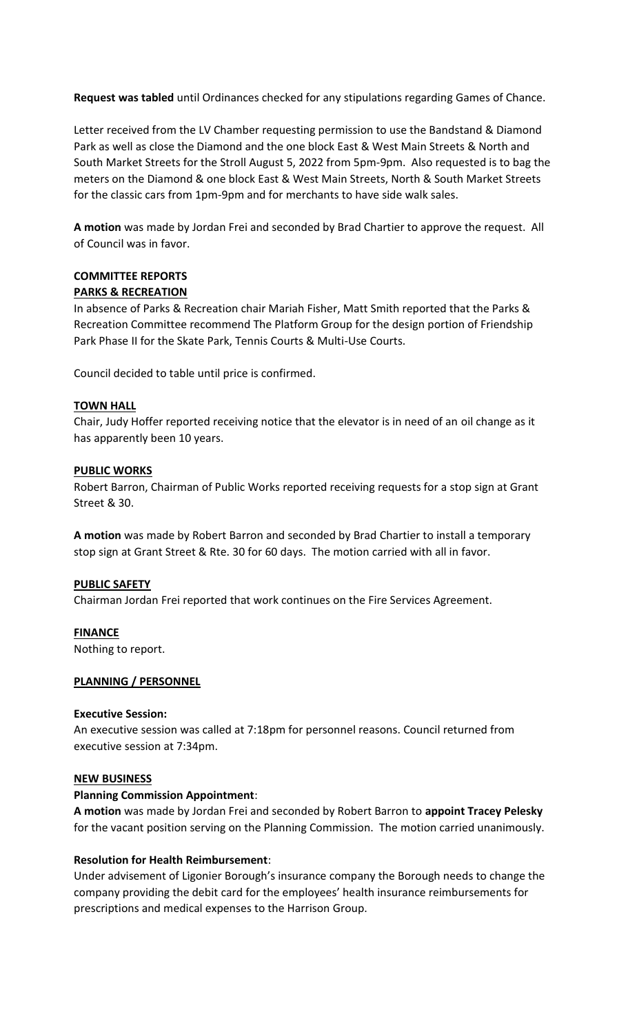**Request was tabled** until Ordinances checked for any stipulations regarding Games of Chance.

Letter received from the LV Chamber requesting permission to use the Bandstand & Diamond Park as well as close the Diamond and the one block East & West Main Streets & North and South Market Streets for the Stroll August 5, 2022 from 5pm-9pm. Also requested is to bag the meters on the Diamond & one block East & West Main Streets, North & South Market Streets for the classic cars from 1pm-9pm and for merchants to have side walk sales.

**A motion** was made by Jordan Frei and seconded by Brad Chartier to approve the request. All of Council was in favor.

## **COMMITTEE REPORTS PARKS & RECREATION**

In absence of Parks & Recreation chair Mariah Fisher, Matt Smith reported that the Parks & Recreation Committee recommend The Platform Group for the design portion of Friendship Park Phase II for the Skate Park, Tennis Courts & Multi-Use Courts.

Council decided to table until price is confirmed.

## **TOWN HALL**

Chair, Judy Hoffer reported receiving notice that the elevator is in need of an oil change as it has apparently been 10 years.

## **PUBLIC WORKS**

Robert Barron, Chairman of Public Works reported receiving requests for a stop sign at Grant Street & 30.

**A motion** was made by Robert Barron and seconded by Brad Chartier to install a temporary stop sign at Grant Street & Rte. 30 for 60 days. The motion carried with all in favor.

## **PUBLIC SAFETY**

Chairman Jordan Frei reported that work continues on the Fire Services Agreement.

**FINANCE**

Nothing to report.

## **PLANNING / PERSONNEL**

## **Executive Session:**

An executive session was called at 7:18pm for personnel reasons. Council returned from executive session at 7:34pm.

## **NEW BUSINESS**

## **Planning Commission Appointment**:

**A motion** was made by Jordan Frei and seconded by Robert Barron to **appoint Tracey Pelesky** for the vacant position serving on the Planning Commission. The motion carried unanimously.

# **Resolution for Health Reimbursement**:

Under advisement of Ligonier Borough's insurance company the Borough needs to change the company providing the debit card for the employees' health insurance reimbursements for prescriptions and medical expenses to the Harrison Group.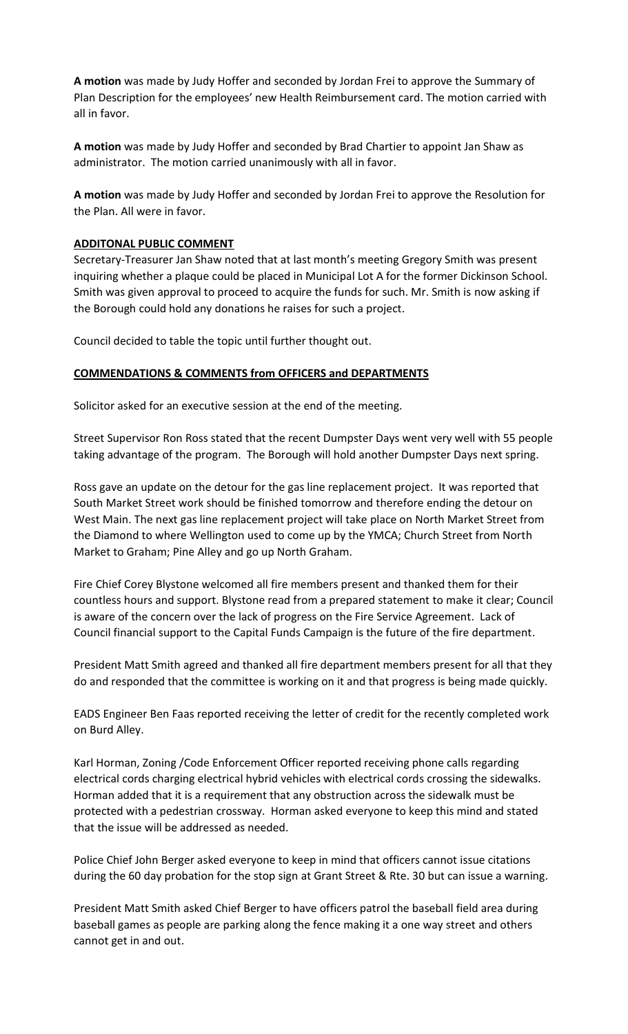**A motion** was made by Judy Hoffer and seconded by Jordan Frei to approve the Summary of Plan Description for the employees' new Health Reimbursement card. The motion carried with all in favor.

**A motion** was made by Judy Hoffer and seconded by Brad Chartier to appoint Jan Shaw as administrator. The motion carried unanimously with all in favor.

**A motion** was made by Judy Hoffer and seconded by Jordan Frei to approve the Resolution for the Plan. All were in favor.

## **ADDITONAL PUBLIC COMMENT**

Secretary-Treasurer Jan Shaw noted that at last month's meeting Gregory Smith was present inquiring whether a plaque could be placed in Municipal Lot A for the former Dickinson School. Smith was given approval to proceed to acquire the funds for such. Mr. Smith is now asking if the Borough could hold any donations he raises for such a project.

Council decided to table the topic until further thought out.

#### **COMMENDATIONS & COMMENTS from OFFICERS and DEPARTMENTS**

Solicitor asked for an executive session at the end of the meeting.

Street Supervisor Ron Ross stated that the recent Dumpster Days went very well with 55 people taking advantage of the program. The Borough will hold another Dumpster Days next spring.

Ross gave an update on the detour for the gas line replacement project. It was reported that South Market Street work should be finished tomorrow and therefore ending the detour on West Main. The next gas line replacement project will take place on North Market Street from the Diamond to where Wellington used to come up by the YMCA; Church Street from North Market to Graham; Pine Alley and go up North Graham.

Fire Chief Corey Blystone welcomed all fire members present and thanked them for their countless hours and support. Blystone read from a prepared statement to make it clear; Council is aware of the concern over the lack of progress on the Fire Service Agreement. Lack of Council financial support to the Capital Funds Campaign is the future of the fire department.

President Matt Smith agreed and thanked all fire department members present for all that they do and responded that the committee is working on it and that progress is being made quickly.

EADS Engineer Ben Faas reported receiving the letter of credit for the recently completed work on Burd Alley.

Karl Horman, Zoning /Code Enforcement Officer reported receiving phone calls regarding electrical cords charging electrical hybrid vehicles with electrical cords crossing the sidewalks. Horman added that it is a requirement that any obstruction across the sidewalk must be protected with a pedestrian crossway. Horman asked everyone to keep this mind and stated that the issue will be addressed as needed.

Police Chief John Berger asked everyone to keep in mind that officers cannot issue citations during the 60 day probation for the stop sign at Grant Street & Rte. 30 but can issue a warning.

President Matt Smith asked Chief Berger to have officers patrol the baseball field area during baseball games as people are parking along the fence making it a one way street and others cannot get in and out.